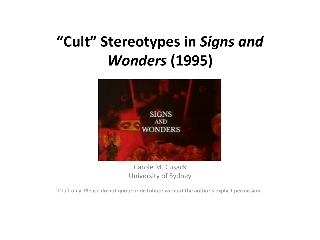#### "Cult" Stereotypes in Signs and *Wonders* **(1995)**



Carole M. Cusack University of Sydney

Draft only. Please do not quote or distribute without the author's explicit permission.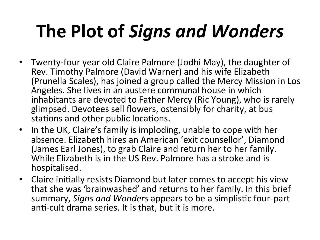# **The Plot of Signs and Wonders**

- Twenty-four year old Claire Palmore (Jodhi May), the daughter of Rev. Timothy Palmore (David Warner) and his wife Elizabeth (Prunella Scales), has joined a group called the Mercy Mission in Los Angeles. She lives in an austere communal house in which inhabitants are devoted to Father Mercy (Ric Young), who is rarely glimpsed. Devotees sell flowers, ostensibly for charity, at bus stations and other public locations.
- In the UK, Claire's family is imploding, unable to cope with her absence. Elizabeth hires an American 'exit counsellor', Diamond (James Earl Jones), to grab Claire and return her to her family. While Elizabeth is in the US Rev. Palmore has a stroke and is hospitalised.
- Claire initially resists Diamond but later comes to accept his view that she was 'brainwashed' and returns to her family. In this brief summary, Signs and Wonders appears to be a simplistic four-part anti-cult drama series. It is that, but it is more.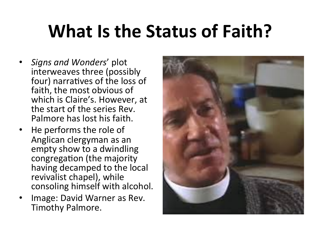## **What Is the Status of Faith?**

- *Signs and Wonders*' plot interweaves three (possibly four) narratives of the loss of faith, the most obvious of which is Claire's. However, at the start of the series Rev. Palmore has lost his faith.
- He performs the role of Anglican clergyman as an empty show to a dwindling congregation (the majority having decamped to the local revivalist chapel), while consoling himself with alcohol.
- Image: David Warner as Rev. Timothy Palmore.

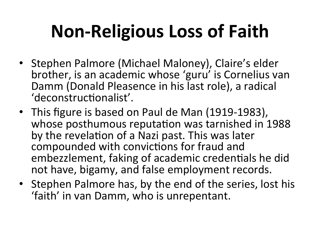# **Non-Religious Loss of Faith**

- Stephen Palmore (Michael Maloney), Claire's elder brother, is an academic whose 'guru' is Cornelius van Damm (Donald Pleasence in his last role), a radical 'deconstructionalist'.
- This figure is based on Paul de Man (1919-1983), whose posthumous reputation was tarnished in 1988 by the revelation of a Nazi past. This was later compounded with convictions for fraud and embezzlement, faking of academic credentials he did not have, bigamy, and false employment records.
- Stephen Palmore has, by the end of the series, lost his 'faith' in van Damm, who is unrepentant.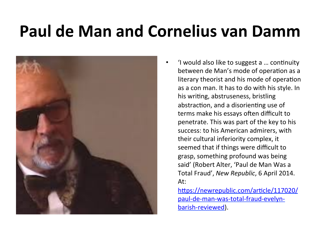### **Paul de Man and Cornelius van Damm**



'I would also like to suggest a ... continuity between de Man's mode of operation as a literary theorist and his mode of operation as a con man. It has to do with his style. In his writing, abstruseness, bristling abstraction, and a disorienting use of terms make his essays often difficult to penetrate. This was part of the key to his success: to his American admirers, with their cultural inferiority complex, it seemed that if things were difficult to grasp, something profound was being said' (Robert Alter, 'Paul de Man Was a Total Fraud', *New Republic*, 6 April 2014. At: 

https://newrepublic.com/article/117020/ paul-de-man-was-total-fraud-evelynbarish-reviewed).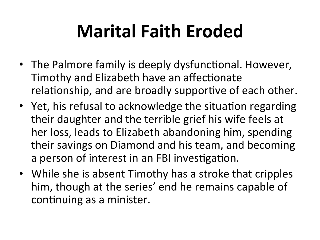# **Marital Faith Eroded**

- The Palmore family is deeply dysfunctional. However, Timothy and Elizabeth have an affectionate relationship, and are broadly supportive of each other.
- Yet, his refusal to acknowledge the situation regarding their daughter and the terrible grief his wife feels at her loss, leads to Elizabeth abandoning him, spending their savings on Diamond and his team, and becoming a person of interest in an FBI investigation.
- While she is absent Timothy has a stroke that cripples him, though at the series' end he remains capable of continuing as a minister.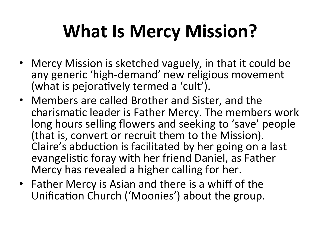# **What Is Mercy Mission?**

- Mercy Mission is sketched vaguely, in that it could be any generic 'high-demand' new religious movement (what is pejoratively termed a 'cult').
- Members are called Brother and Sister, and the charismatic leader is Father Mercy. The members work long hours selling flowers and seeking to 'save' people (that is, convert or recruit them to the Mission). Claire's abduction is facilitated by her going on a last evangelistic foray with her friend Daniel, as Father Mercy has revealed a higher calling for her.
- Father Mercy is Asian and there is a whiff of the Unification Church ('Moonies') about the group.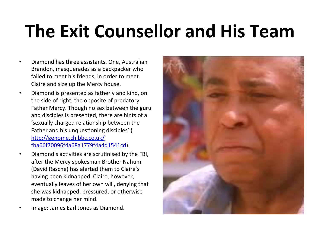## **The Exit Counsellor and His Team**

- Diamond has three assistants. One, Australian Brandon, masquerades as a backpacker who failed to meet his friends, in order to meet Claire and size up the Mercy house.
- Diamond is presented as fatherly and kind, on the side of right, the opposite of predatory Father Mercy. Though no sex between the guru and disciples is presented, there are hints of a 'sexually charged relationship between the Father and his unquestioning disciples' ( http://genome.ch.bbc.co.uk/ ka66f70096f4a68a1779f4a4d1541cd).
- Diamond's activities are scrutinised by the FBI, after the Mercy spokesman Brother Nahum (David Rasche) has alerted them to Claire's having been kidnapped. Claire, however, eventually leaves of her own will, denying that she was kidnapped, pressured, or otherwise made to change her mind.
- Image: James Earl Jones as Diamond.

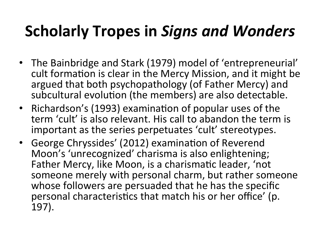### **Scholarly Tropes in Signs and Wonders**

- The Bainbridge and Stark (1979) model of 'entrepreneurial' cult formation is clear in the Mercy Mission, and it might be argued that both psychopathology (of Father Mercy) and subcultural evolution (the members) are also detectable.
- Richardson's (1993) examination of popular uses of the term 'cult' is also relevant. His call to abandon the term is important as the series perpetuates 'cult' stereotypes.
- George Chryssides' (2012) examination of Reverend Moon's 'unrecognized' charisma is also enlightening; Father Mercy, like Moon, is a charismatic leader, 'not someone merely with personal charm, but rather someone whose followers are persuaded that he has the specific personal characteristics that match his or her office' (p. 197).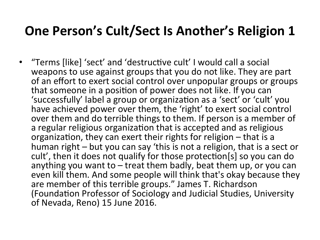#### **One Person's Cult/Sect Is Another's Religion 1**

• "Terms [like] 'sect' and 'destructive cult' I would call a social weapons to use against groups that you do not like. They are part of an effort to exert social control over unpopular groups or groups that someone in a position of power does not like. If you can 'successfully' label a group or organization as a 'sect' or 'cult' you have achieved power over them, the 'right' to exert social control over them and do terrible things to them. If person is a member of a regular religious organization that is accepted and as religious organization, they can exert their rights for religion  $-$  that is a human right – but you can say 'this is not a religion, that is a sect or cult', then it does not qualify for those protection[s] so you can do anything you want to  $-$  treat them badly, beat them up, or you can even kill them. And some people will think that's okay because they are member of this terrible groups." James T. Richardson (Foundation Professor of Sociology and Judicial Studies, University of Nevada, Reno) 15 June 2016.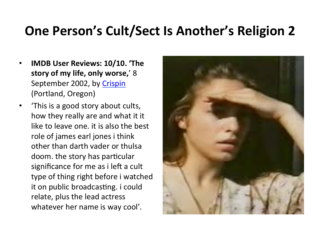#### **One Person's Cult/Sect Is Another's Religion 2**

- **IMDB User Reviews: 10/10. 'The story of my life, only worse,'** 8 September 2002, by Crispin (Portland, Oregon)
- 'This is a good story about cults, how they really are and what it it like to leave one, it is also the best role of james earl jones i think other than darth vader or thulsa doom. the story has particular significance for me as i left a cult type of thing right before i watched it on public broadcasting. *i* could relate, plus the lead actress whatever her name is way cool'.